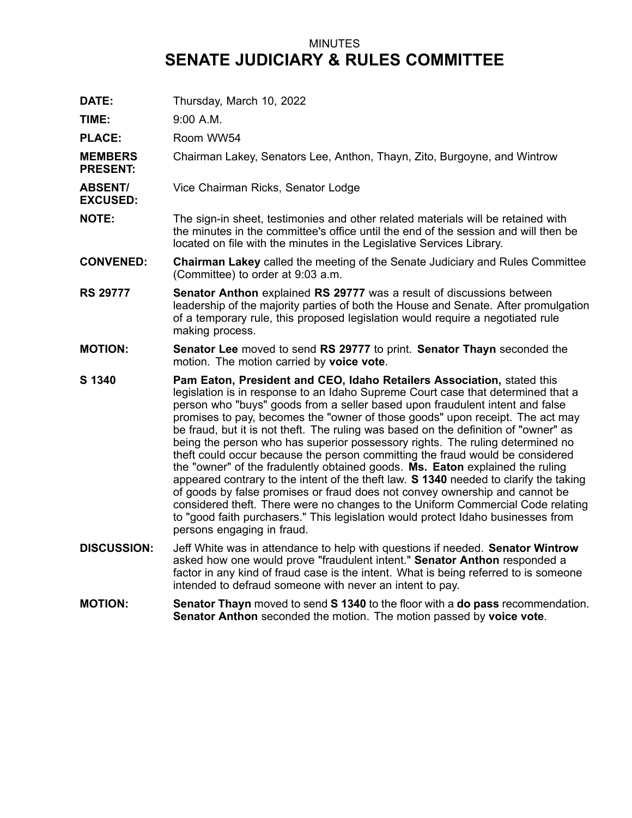## MINUTES **SENATE JUDICIARY & RULES COMMITTEE**

**DATE:** Thursday, March 10, 2022

**TIME:** 9:00 A.M.

**PLACE:** Room WW54

**MEMBERS PRESENT:** Chairman Lakey, Senators Lee, Anthon, Thayn, Zito, Burgoyne, and Wintrow

- **ABSENT/** Vice Chairman Ricks, Senator Lodge
- **EXCUSED:**
- **NOTE:** The sign-in sheet, testimonies and other related materials will be retained with the minutes in the committee's office until the end of the session and will then be located on file with the minutes in the Legislative Services Library.
- **CONVENED: Chairman Lakey** called the meeting of the Senate Judiciary and Rules Committee (Committee) to order at 9:03 a.m.
- **RS 29777 Senator Anthon** explained **RS 29777** was <sup>a</sup> result of discussions between leadership of the majority parties of both the House and Senate. After promulgation of <sup>a</sup> temporary rule, this proposed legislation would require <sup>a</sup> negotiated rule making process.
- **MOTION: Senator Lee** moved to send **RS 29777** to print. **Senator Thayn** seconded the motion. The motion carried by **voice vote**.
- **S 1340 Pam Eaton, President and CEO, Idaho Retailers Association,** stated this legislation is in response to an Idaho Supreme Court case that determined that <sup>a</sup> person who "buys" goods from <sup>a</sup> seller based upon fraudulent intent and false promises to pay, becomes the "owner of those goods" upon receipt. The act may be fraud, but it is not theft. The ruling was based on the definition of "owner" as being the person who has superior possessory rights. The ruling determined no theft could occur because the person committing the fraud would be considered the "owner" of the fradulently obtained goods. **Ms. Eaton** explained the ruling appeared contrary to the intent of the theft law. **S 1340** needed to clarify the taking of goods by false promises or fraud does not convey ownership and cannot be considered theft. There were no changes to the Uniform Commercial Code relating to "good faith purchasers." This legislation would protect Idaho businesses from persons engaging in fraud.
- **DISCUSSION:** Jeff White was in attendance to help with questions if needed. **Senator Wintrow** asked how one would prove "fraudulent intent." **Senator Anthon** responded <sup>a</sup> factor in any kind of fraud case is the intent. What is being referred to is someone intended to defraud someone with never an intent to pay.
- **MOTION: Senator Thayn** moved to send **S 1340** to the floor with <sup>a</sup> **do pass** recommendation. **Senator Anthon** seconded the motion. The motion passed by **voice vote**.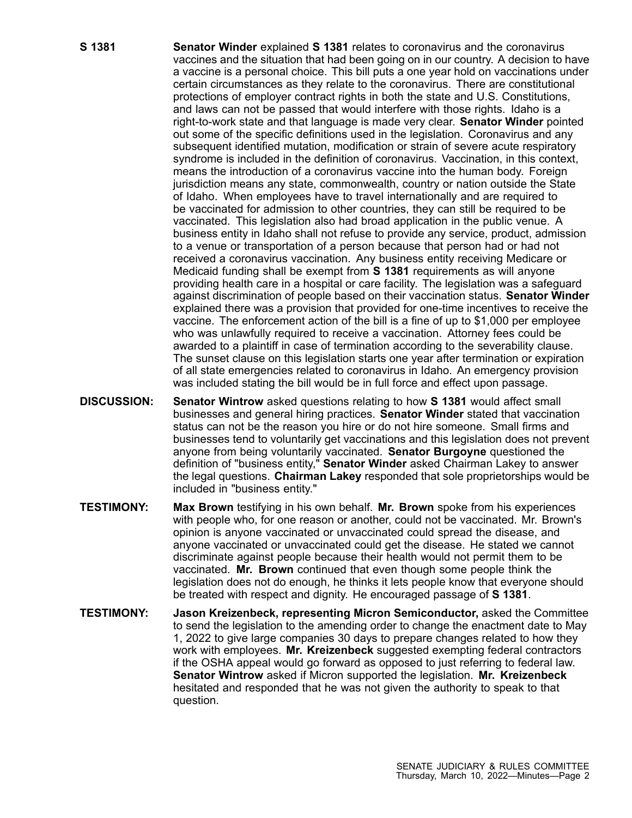- **S 1381 Senator Winder** explained **S 1381** relates to coronavirus and the coronavirus vaccines and the situation that had been going on in our country. A decision to have <sup>a</sup> vaccine is <sup>a</sup> personal choice. This bill puts <sup>a</sup> one year hold on vaccinations under certain circumstances as they relate to the coronavirus. There are constitutional protections of employer contract rights in both the state and U.S. Constitutions, and laws can not be passed that would interfere with those rights. Idaho is <sup>a</sup> right-to-work state and that language is made very clear. **Senator Winder** pointed out some of the specific definitions used in the legislation. Coronavirus and any subsequent identified mutation, modification or strain of severe acute respiratory syndrome is included in the definition of coronavirus. Vaccination, in this context, means the introduction of <sup>a</sup> coronavirus vaccine into the human body. Foreign jurisdiction means any state, commonwealth, country or nation outside the State of Idaho. When employees have to travel internationally and are required to be vaccinated for admission to other countries, they can still be required to be vaccinated. This legislation also had broad application in the public venue. A business entity in Idaho shall not refuse to provide any service, product, admission to <sup>a</sup> venue or transportation of <sup>a</sup> person because that person had or had not received <sup>a</sup> coronavirus vaccination. Any business entity receiving Medicare or Medicaid funding shall be exempt from **S 1381** requirements as will anyone providing health care in <sup>a</sup> hospital or care facility. The legislation was <sup>a</sup> safeguard against discrimination of people based on their vaccination status. **Senator Winder** explained there was <sup>a</sup> provision that provided for one-time incentives to receive the vaccine. The enforcement action of the bill is <sup>a</sup> fine of up to \$1,000 per employee who was unlawfully required to receive <sup>a</sup> vaccination. Attorney fees could be awarded to <sup>a</sup> plaintiff in case of termination according to the severability clause. The sunset clause on this legislation starts one year after termination or expiration of all state emergencies related to coronavirus in Idaho. An emergency provision was included stating the bill would be in full force and effect upon passage.
- **DISCUSSION: Senator Wintrow** asked questions relating to how **S 1381** would affect small businesses and general hiring practices. **Senator Winder** stated that vaccination status can not be the reason you hire or do not hire someone. Small firms and businesses tend to voluntarily get vaccinations and this legislation does not prevent anyone from being voluntarily vaccinated. **Senator Burgoyne** questioned the definition of "business entity," **Senator Winder** asked Chairman Lakey to answer the legal questions. **Chairman Lakey** responded that sole proprietorships would be included in "business entity."
- **TESTIMONY: Max Brown** testifying in his own behalf. **Mr. Brown** spoke from his experiences with people who, for one reason or another, could not be vaccinated. Mr. Brown's opinion is anyone vaccinated or unvaccinated could spread the disease, and anyone vaccinated or unvaccinated could get the disease. He stated we cannot discriminate against people because their health would not permit them to be vaccinated. **Mr. Brown** continued that even though some people think the legislation does not do enough, he thinks it lets people know that everyone should be treated with respect and dignity. He encouraged passage of **S 1381**.
- **TESTIMONY: Jason Kreizenbeck, representing Micron Semiconductor,** asked the Committee to send the legislation to the amending order to change the enactment date to May 1, 2022 to give large companies 30 days to prepare changes related to how they work with employees. **Mr. Kreizenbeck** suggested exempting federal contractors if the OSHA appeal would go forward as opposed to just referring to federal law. **Senator Wintrow** asked if Micron supported the legislation. **Mr. Kreizenbeck** hesitated and responded that he was not given the authority to speak to that question.